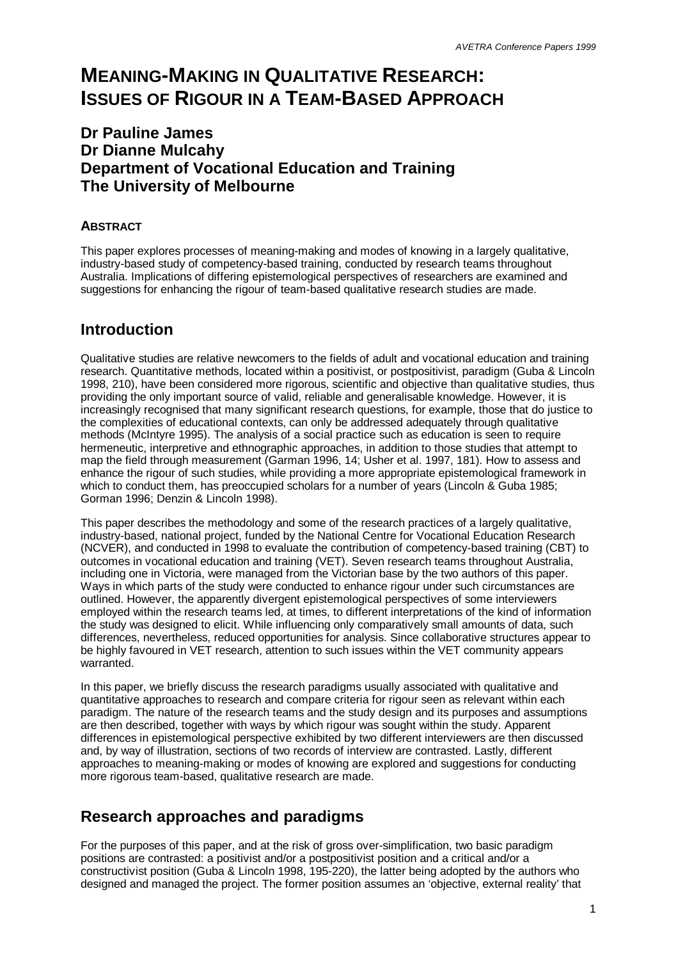# **MEANING-MAKING IN QUALITATIVE RESEARCH: ISSUES OF RIGOUR IN A TEAM-BASED APPROACH**

## **Dr Pauline James Dr Dianne Mulcahy Department of Vocational Education and Training The University of Melbourne**

#### **ABSTRACT**

This paper explores processes of meaning-making and modes of knowing in a largely qualitative, industry-based study of competency-based training, conducted by research teams throughout Australia. Implications of differing epistemological perspectives of researchers are examined and suggestions for enhancing the rigour of team-based qualitative research studies are made.

#### **Introduction**

Qualitative studies are relative newcomers to the fields of adult and vocational education and training research. Quantitative methods, located within a positivist, or postpositivist, paradigm (Guba & Lincoln 1998, 210), have been considered more rigorous, scientific and objective than qualitative studies, thus providing the only important source of valid, reliable and generalisable knowledge. However, it is increasingly recognised that many significant research questions, for example, those that do justice to the complexities of educational contexts, can only be addressed adequately through qualitative methods (McIntyre 1995). The analysis of a social practice such as education is seen to require hermeneutic, interpretive and ethnographic approaches, in addition to those studies that attempt to map the field through measurement (Garman 1996, 14; Usher et al. 1997, 181). How to assess and enhance the rigour of such studies, while providing a more appropriate epistemological framework in which to conduct them, has preoccupied scholars for a number of years (Lincoln & Guba 1985; Gorman 1996; Denzin & Lincoln 1998).

This paper describes the methodology and some of the research practices of a largely qualitative, industry-based, national project, funded by the National Centre for Vocational Education Research (NCVER), and conducted in 1998 to evaluate the contribution of competency-based training (CBT) to outcomes in vocational education and training (VET). Seven research teams throughout Australia, including one in Victoria, were managed from the Victorian base by the two authors of this paper. Ways in which parts of the study were conducted to enhance rigour under such circumstances are outlined. However, the apparently divergent epistemological perspectives of some interviewers employed within the research teams led, at times, to different interpretations of the kind of information the study was designed to elicit. While influencing only comparatively small amounts of data, such differences, nevertheless, reduced opportunities for analysis. Since collaborative structures appear to be highly favoured in VET research, attention to such issues within the VET community appears warranted.

In this paper, we briefly discuss the research paradigms usually associated with qualitative and quantitative approaches to research and compare criteria for rigour seen as relevant within each paradigm. The nature of the research teams and the study design and its purposes and assumptions are then described, together with ways by which rigour was sought within the study. Apparent differences in epistemological perspective exhibited by two different interviewers are then discussed and, by way of illustration, sections of two records of interview are contrasted. Lastly, different approaches to meaning-making or modes of knowing are explored and suggestions for conducting more rigorous team-based, qualitative research are made.

## **Research approaches and paradigms**

For the purposes of this paper, and at the risk of gross over-simplification, two basic paradigm positions are contrasted: a positivist and/or a postpositivist position and a critical and/or a constructivist position (Guba & Lincoln 1998, 195-220), the latter being adopted by the authors who designed and managed the project. The former position assumes an 'objective, external reality' that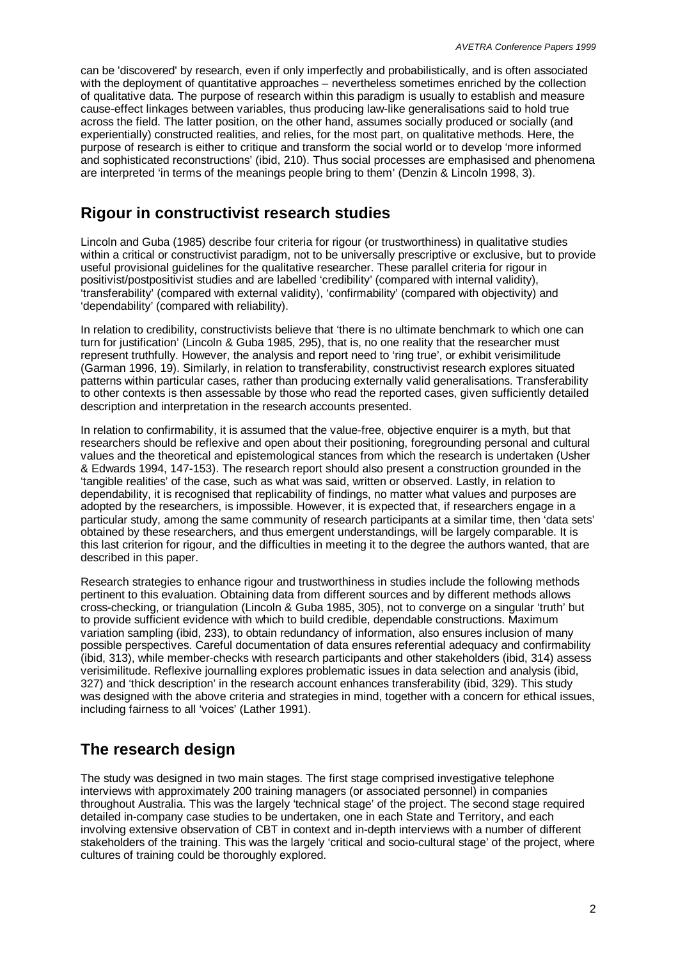can be 'discovered' by research, even if only imperfectly and probabilistically, and is often associated with the deployment of quantitative approaches – nevertheless sometimes enriched by the collection of qualitative data. The purpose of research within this paradigm is usually to establish and measure cause-effect linkages between variables, thus producing law-like generalisations said to hold true across the field. The latter position, on the other hand, assumes socially produced or socially (and experientially) constructed realities, and relies, for the most part, on qualitative methods. Here, the purpose of research is either to critique and transform the social world or to develop 'more informed and sophisticated reconstructions' (ibid, 210). Thus social processes are emphasised and phenomena are interpreted 'in terms of the meanings people bring to them' (Denzin & Lincoln 1998, 3).

#### **Rigour in constructivist research studies**

Lincoln and Guba (1985) describe four criteria for rigour (or trustworthiness) in qualitative studies within a critical or constructivist paradigm, not to be universally prescriptive or exclusive, but to provide useful provisional guidelines for the qualitative researcher. These parallel criteria for rigour in positivist/postpositivist studies and are labelled 'credibility' (compared with internal validity), 'transferability' (compared with external validity), 'confirmability' (compared with objectivity) and 'dependability' (compared with reliability).

In relation to credibility, constructivists believe that 'there is no ultimate benchmark to which one can turn for justification' (Lincoln & Guba 1985, 295), that is, no one reality that the researcher must represent truthfully. However, the analysis and report need to 'ring true', or exhibit verisimilitude (Garman 1996, 19). Similarly, in relation to transferability, constructivist research explores situated patterns within particular cases, rather than producing externally valid generalisations. Transferability to other contexts is then assessable by those who read the reported cases, given sufficiently detailed description and interpretation in the research accounts presented.

In relation to confirmability, it is assumed that the value-free, objective enquirer is a myth, but that researchers should be reflexive and open about their positioning, foregrounding personal and cultural values and the theoretical and epistemological stances from which the research is undertaken (Usher & Edwards 1994, 147-153). The research report should also present a construction grounded in the 'tangible realities' of the case, such as what was said, written or observed. Lastly, in relation to dependability, it is recognised that replicability of findings, no matter what values and purposes are adopted by the researchers, is impossible. However, it is expected that, if researchers engage in a particular study, among the same community of research participants at a similar time, then 'data sets' obtained by these researchers, and thus emergent understandings, will be largely comparable. It is this last criterion for rigour, and the difficulties in meeting it to the degree the authors wanted, that are described in this paper.

Research strategies to enhance rigour and trustworthiness in studies include the following methods pertinent to this evaluation. Obtaining data from different sources and by different methods allows cross-checking, or triangulation (Lincoln & Guba 1985, 305), not to converge on a singular 'truth' but to provide sufficient evidence with which to build credible, dependable constructions. Maximum variation sampling (ibid, 233), to obtain redundancy of information, also ensures inclusion of many possible perspectives. Careful documentation of data ensures referential adequacy and confirmability (ibid, 313), while member-checks with research participants and other stakeholders (ibid, 314) assess verisimilitude. Reflexive journalling explores problematic issues in data selection and analysis (ibid, 327) and 'thick description' in the research account enhances transferability (ibid, 329). This study was designed with the above criteria and strategies in mind, together with a concern for ethical issues, including fairness to all 'voices' (Lather 1991).

## **The research design**

The study was designed in two main stages. The first stage comprised investigative telephone interviews with approximately 200 training managers (or associated personnel) in companies throughout Australia. This was the largely 'technical stage' of the project. The second stage required detailed in-company case studies to be undertaken, one in each State and Territory, and each involving extensive observation of CBT in context and in-depth interviews with a number of different stakeholders of the training. This was the largely 'critical and socio-cultural stage' of the project, where cultures of training could be thoroughly explored.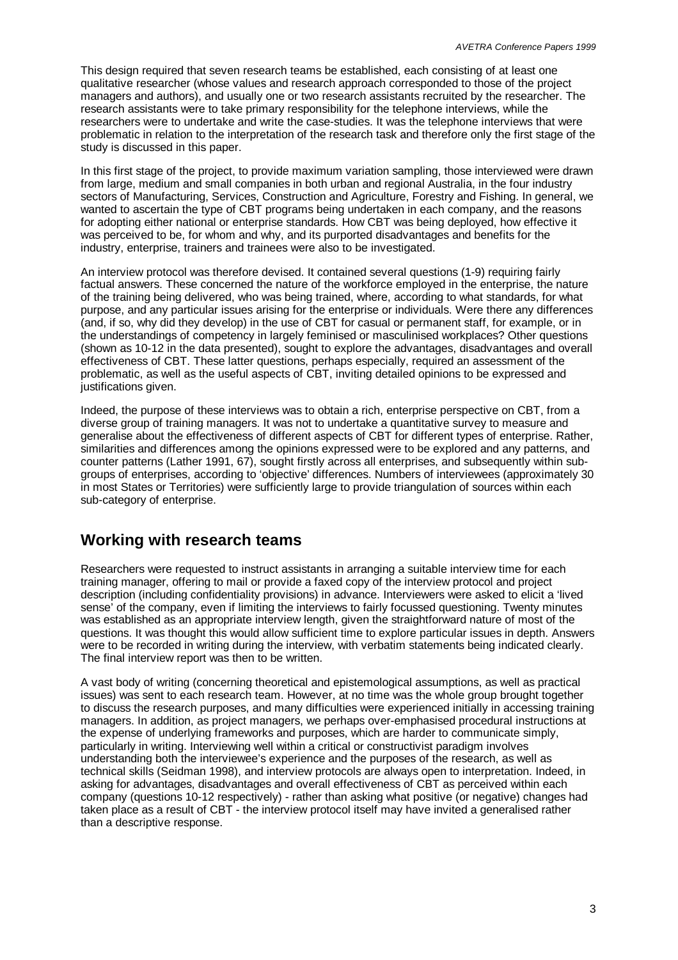This design required that seven research teams be established, each consisting of at least one qualitative researcher (whose values and research approach corresponded to those of the project managers and authors), and usually one or two research assistants recruited by the researcher. The research assistants were to take primary responsibility for the telephone interviews, while the researchers were to undertake and write the case-studies. It was the telephone interviews that were problematic in relation to the interpretation of the research task and therefore only the first stage of the study is discussed in this paper.

In this first stage of the project, to provide maximum variation sampling, those interviewed were drawn from large, medium and small companies in both urban and regional Australia, in the four industry sectors of Manufacturing, Services, Construction and Agriculture, Forestry and Fishing. In general, we wanted to ascertain the type of CBT programs being undertaken in each company, and the reasons for adopting either national or enterprise standards. How CBT was being deployed, how effective it was perceived to be, for whom and why, and its purported disadvantages and benefits for the industry, enterprise, trainers and trainees were also to be investigated.

An interview protocol was therefore devised. It contained several questions (1-9) requiring fairly factual answers. These concerned the nature of the workforce employed in the enterprise, the nature of the training being delivered, who was being trained, where, according to what standards, for what purpose, and any particular issues arising for the enterprise or individuals. Were there any differences (and, if so, why did they develop) in the use of CBT for casual or permanent staff, for example, or in the understandings of competency in largely feminised or masculinised workplaces? Other questions (shown as 10-12 in the data presented), sought to explore the advantages, disadvantages and overall effectiveness of CBT. These latter questions, perhaps especially, required an assessment of the problematic, as well as the useful aspects of CBT, inviting detailed opinions to be expressed and justifications given.

Indeed, the purpose of these interviews was to obtain a rich, enterprise perspective on CBT, from a diverse group of training managers. It was not to undertake a quantitative survey to measure and generalise about the effectiveness of different aspects of CBT for different types of enterprise. Rather, similarities and differences among the opinions expressed were to be explored and any patterns, and counter patterns (Lather 1991, 67), sought firstly across all enterprises, and subsequently within subgroups of enterprises, according to 'objective' differences. Numbers of interviewees (approximately 30 in most States or Territories) were sufficiently large to provide triangulation of sources within each sub-category of enterprise.

## **Working with research teams**

Researchers were requested to instruct assistants in arranging a suitable interview time for each training manager, offering to mail or provide a faxed copy of the interview protocol and project description (including confidentiality provisions) in advance. Interviewers were asked to elicit a 'lived sense' of the company, even if limiting the interviews to fairly focussed questioning. Twenty minutes was established as an appropriate interview length, given the straightforward nature of most of the questions. It was thought this would allow sufficient time to explore particular issues in depth. Answers were to be recorded in writing during the interview, with verbatim statements being indicated clearly. The final interview report was then to be written.

A vast body of writing (concerning theoretical and epistemological assumptions, as well as practical issues) was sent to each research team. However, at no time was the whole group brought together to discuss the research purposes, and many difficulties were experienced initially in accessing training managers. In addition, as project managers, we perhaps over-emphasised procedural instructions at the expense of underlying frameworks and purposes, which are harder to communicate simply, particularly in writing. Interviewing well within a critical or constructivist paradigm involves understanding both the interviewee's experience and the purposes of the research, as well as technical skills (Seidman 1998), and interview protocols are always open to interpretation. Indeed, in asking for advantages, disadvantages and overall effectiveness of CBT as perceived within each company (questions 10-12 respectively) - rather than asking what positive (or negative) changes had taken place as a result of CBT - the interview protocol itself may have invited a generalised rather than a descriptive response.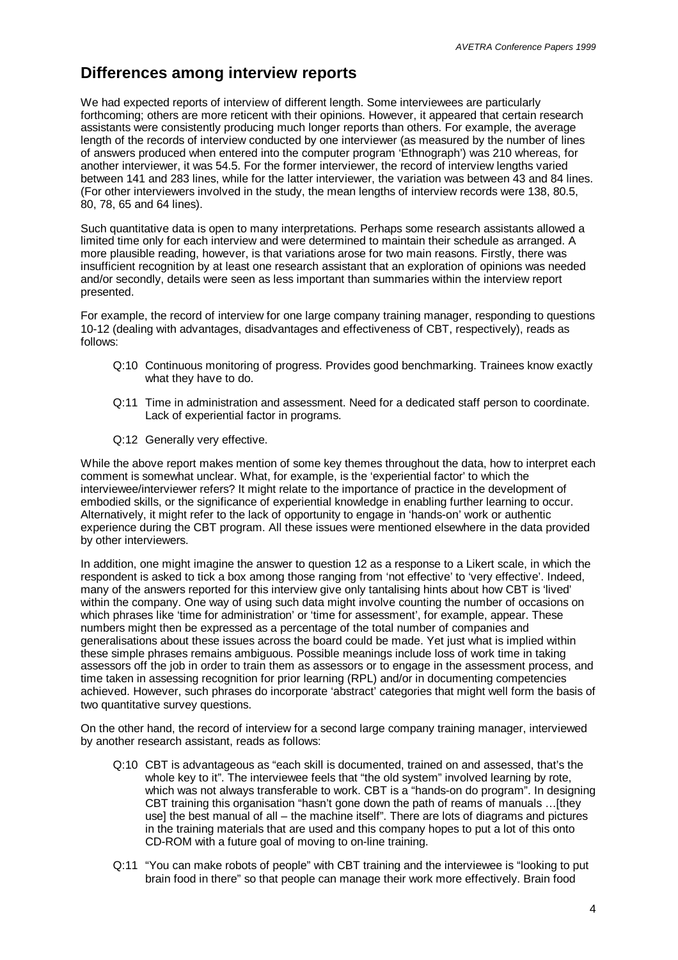#### **Differences among interview reports**

We had expected reports of interview of different length. Some interviewees are particularly forthcoming; others are more reticent with their opinions. However, it appeared that certain research assistants were consistently producing much longer reports than others. For example, the average length of the records of interview conducted by one interviewer (as measured by the number of lines of answers produced when entered into the computer program 'Ethnograph') was 210 whereas, for another interviewer, it was 54.5. For the former interviewer, the record of interview lengths varied between 141 and 283 lines, while for the latter interviewer, the variation was between 43 and 84 lines. (For other interviewers involved in the study, the mean lengths of interview records were 138, 80.5, 80, 78, 65 and 64 lines).

Such quantitative data is open to many interpretations. Perhaps some research assistants allowed a limited time only for each interview and were determined to maintain their schedule as arranged. A more plausible reading, however, is that variations arose for two main reasons. Firstly, there was insufficient recognition by at least one research assistant that an exploration of opinions was needed and/or secondly, details were seen as less important than summaries within the interview report presented.

For example, the record of interview for one large company training manager, responding to questions 10-12 (dealing with advantages, disadvantages and effectiveness of CBT, respectively), reads as follows:

- Q:10 Continuous monitoring of progress. Provides good benchmarking. Trainees know exactly what they have to do.
- Q:11 Time in administration and assessment. Need for a dedicated staff person to coordinate. Lack of experiential factor in programs.
- Q:12 Generally very effective.

While the above report makes mention of some key themes throughout the data, how to interpret each comment is somewhat unclear. What, for example, is the 'experiential factor' to which the interviewee/interviewer refers? It might relate to the importance of practice in the development of embodied skills, or the significance of experiential knowledge in enabling further learning to occur. Alternatively, it might refer to the lack of opportunity to engage in 'hands-on' work or authentic experience during the CBT program. All these issues were mentioned elsewhere in the data provided by other interviewers.

In addition, one might imagine the answer to question 12 as a response to a Likert scale, in which the respondent is asked to tick a box among those ranging from 'not effective' to 'very effective'. Indeed, many of the answers reported for this interview give only tantalising hints about how CBT is 'lived' within the company. One way of using such data might involve counting the number of occasions on which phrases like 'time for administration' or 'time for assessment', for example, appear. These numbers might then be expressed as a percentage of the total number of companies and generalisations about these issues across the board could be made. Yet just what is implied within these simple phrases remains ambiguous. Possible meanings include loss of work time in taking assessors off the job in order to train them as assessors or to engage in the assessment process, and time taken in assessing recognition for prior learning (RPL) and/or in documenting competencies achieved. However, such phrases do incorporate 'abstract' categories that might well form the basis of two quantitative survey questions.

On the other hand, the record of interview for a second large company training manager, interviewed by another research assistant, reads as follows:

- Q:10 CBT is advantageous as "each skill is documented, trained on and assessed, that's the whole key to it". The interviewee feels that "the old system" involved learning by rote, which was not always transferable to work. CBT is a "hands-on do program". In designing CBT training this organisation "hasn't gone down the path of reams of manuals … [they use] the best manual of all – the machine itself". There are lots of diagrams and pictures in the training materials that are used and this company hopes to put a lot of this onto CD-ROM with a future goal of moving to on-line training.
- Q:11 "You can make robots of people" with CBT training and the interviewee is "looking to put brain food in there" so that people can manage their work more effectively. Brain food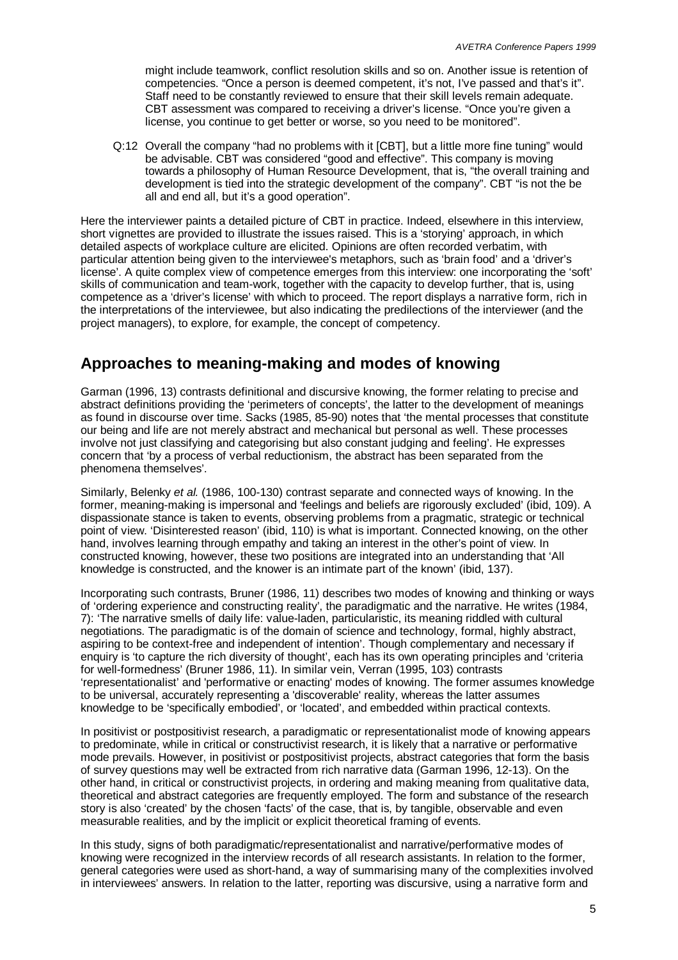might include teamwork, conflict resolution skills and so on. Another issue is retention of competencies. "Once a person is deemed competent, it's not, I've passed and that's it". Staff need to be constantly reviewed to ensure that their skill levels remain adequate. CBT assessment was compared to receiving a driver's license. "Once you're given a license, you continue to get better or worse, so you need to be monitored".

Q:12 Overall the company "had no problems with it [CBT], but a little more fine tuning" would be advisable. CBT was considered "good and effective". This company is moving towards a philosophy of Human Resource Development, that is, "the overall training and development is tied into the strategic development of the company". CBT "is not the be all and end all, but it's a good operation".

Here the interviewer paints a detailed picture of CBT in practice. Indeed, elsewhere in this interview, short vignettes are provided to illustrate the issues raised. This is a 'storying' approach, in which detailed aspects of workplace culture are elicited. Opinions are often recorded verbatim, with particular attention being given to the interviewee's metaphors, such as 'brain food' and a 'driver's license'. A quite complex view of competence emerges from this interview: one incorporating the 'soft' skills of communication and team-work, together with the capacity to develop further, that is, using competence as a 'driver's license' with which to proceed. The report displays a narrative form, rich in the interpretations of the interviewee, but also indicating the predilections of the interviewer (and the project managers), to explore, for example, the concept of competency.

## **Approaches to meaning-making and modes of knowing**

Garman (1996, 13) contrasts definitional and discursive knowing, the former relating to precise and abstract definitions providing the 'perimeters of concepts', the latter to the development of meanings as found in discourse over time. Sacks (1985, 85-90) notes that 'the mental processes that constitute our being and life are not merely abstract and mechanical but personal as well. These processes involve not just classifying and categorising but also constant judging and feeling'. He expresses concern that 'by a process of verbal reductionism, the abstract has been separated from the phenomena themselves'.

Similarly, Belenky *et al.* (1986, 100-130) contrast separate and connected ways of knowing. In the former, meaning-making is impersonal and 'feelings and beliefs are rigorously excluded' (ibid, 109). A dispassionate stance is taken to events, observing problems from a pragmatic, strategic or technical point of view. 'Disinterested reason' (ibid, 110) is what is important. Connected knowing, on the other hand, involves learning through empathy and taking an interest in the other's point of view. In constructed knowing, however, these two positions are integrated into an understanding that 'All knowledge is constructed, and the knower is an intimate part of the known' (ibid, 137).

Incorporating such contrasts, Bruner (1986, 11) describes two modes of knowing and thinking or ways of 'ordering experience and constructing reality', the paradigmatic and the narrative. He writes (1984, 7): 'The narrative smells of daily life: value-laden, particularistic, its meaning riddled with cultural negotiations. The paradigmatic is of the domain of science and technology, formal, highly abstract, aspiring to be context-free and independent of intention'. Though complementary and necessary if enquiry is 'to capture the rich diversity of thought', each has its own operating principles and 'criteria for well-formedness' (Bruner 1986, 11). In similar vein, Verran (1995, 103) contrasts 'representationalist' and 'performative or enacting' modes of knowing. The former assumes knowledge to be universal, accurately representing a 'discoverable' reality, whereas the latter assumes knowledge to be 'specifically embodied', or 'located', and embedded within practical contexts.

In positivist or postpositivist research, a paradigmatic or representationalist mode of knowing appears to predominate, while in critical or constructivist research, it is likely that a narrative or performative mode prevails. However, in positivist or postpositivist projects, abstract categories that form the basis of survey questions may well be extracted from rich narrative data (Garman 1996, 12-13). On the other hand, in critical or constructivist projects, in ordering and making meaning from qualitative data, theoretical and abstract categories are frequently employed. The form and substance of the research story is also 'created' by the chosen 'facts' of the case, that is, by tangible, observable and even measurable realities, and by the implicit or explicit theoretical framing of events.

In this study, signs of both paradigmatic/representationalist and narrative/performative modes of knowing were recognized in the interview records of all research assistants. In relation to the former, general categories were used as short-hand, a way of summarising many of the complexities involved in interviewees' answers. In relation to the latter, reporting was discursive, using a narrative form and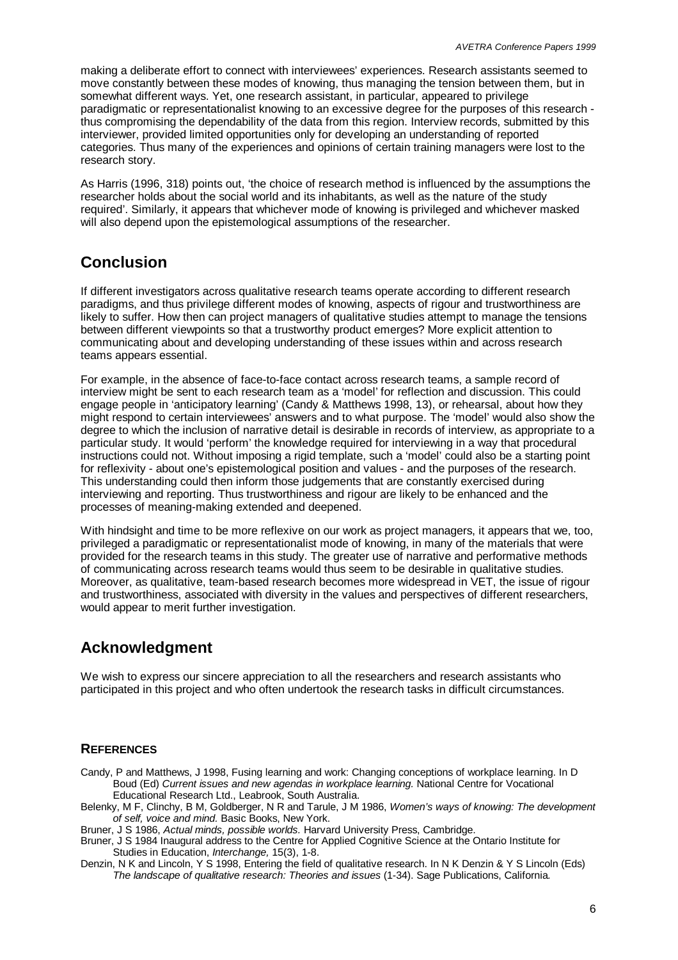making a deliberate effort to connect with interviewees' experiences. Research assistants seemed to move constantly between these modes of knowing, thus managing the tension between them, but in somewhat different ways. Yet, one research assistant, in particular, appeared to privilege paradigmatic or representationalist knowing to an excessive degree for the purposes of this research thus compromising the dependability of the data from this region. Interview records, submitted by this interviewer, provided limited opportunities only for developing an understanding of reported categories. Thus many of the experiences and opinions of certain training managers were lost to the research story.

As Harris (1996, 318) points out, 'the choice of research method is influenced by the assumptions the researcher holds about the social world and its inhabitants, as well as the nature of the study required'. Similarly, it appears that whichever mode of knowing is privileged and whichever masked will also depend upon the epistemological assumptions of the researcher.

## **Conclusion**

If different investigators across qualitative research teams operate according to different research paradigms, and thus privilege different modes of knowing, aspects of rigour and trustworthiness are likely to suffer. How then can project managers of qualitative studies attempt to manage the tensions between different viewpoints so that a trustworthy product emerges? More explicit attention to communicating about and developing understanding of these issues within and across research teams appears essential.

For example, in the absence of face-to-face contact across research teams, a sample record of interview might be sent to each research team as a 'model' for reflection and discussion. This could engage people in 'anticipatory learning' (Candy & Matthews 1998, 13), or rehearsal, about how they might respond to certain interviewees' answers and to what purpose. The 'model' would also show the degree to which the inclusion of narrative detail is desirable in records of interview, as appropriate to a particular study. It would 'perform' the knowledge required for interviewing in a way that procedural instructions could not. Without imposing a rigid template, such a 'model' could also be a starting point for reflexivity - about one's epistemological position and values - and the purposes of the research. This understanding could then inform those judgements that are constantly exercised during interviewing and reporting. Thus trustworthiness and rigour are likely to be enhanced and the processes of meaning-making extended and deepened.

With hindsight and time to be more reflexive on our work as project managers, it appears that we, too, privileged a paradigmatic or representationalist mode of knowing, in many of the materials that were provided for the research teams in this study. The greater use of narrative and performative methods of communicating across research teams would thus seem to be desirable in qualitative studies. Moreover, as qualitative, team-based research becomes more widespread in VET, the issue of rigour and trustworthiness, associated with diversity in the values and perspectives of different researchers, would appear to merit further investigation.

# **Acknowledgment**

We wish to express our sincere appreciation to all the researchers and research assistants who participated in this project and who often undertook the research tasks in difficult circumstances.

#### **REFERENCES**

Candy, P and Matthews, J 1998, Fusing learning and work: Changing conceptions of workplace learning. In D Boud (Ed) *Current issues and new agendas in workplace learning.* National Centre for Vocational Educational Research Ltd., Leabrook, South Australia.

- Belenky, M F, Clinchy, B M, Goldberger, N R and Tarule, J M 1986, *Women's ways of knowing: The development of self, voice and mind.* Basic Books, New York.
- Bruner, J S 1986, *Actual minds, possible worlds.* Harvard University Press, Cambridge.
- Bruner, J S 1984 Inaugural address to the Centre for Applied Cognitive Science at the Ontario Institute for Studies in Education, *Interchange,* 15(3), 1-8.

Denzin, N K and Lincoln, Y S 1998, Entering the field of qualitative research. In N K Denzin & Y S Lincoln (Eds) *The landscape of qualitative research: Theories and issues* (1-34). Sage Publications, California*.*